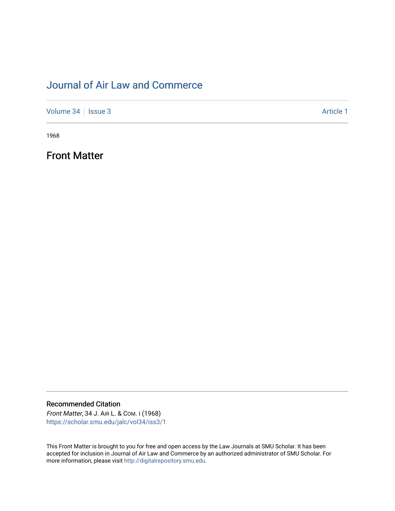## [Journal of Air Law and Commerce](https://scholar.smu.edu/jalc)

[Volume 34](https://scholar.smu.edu/jalc/vol34) | [Issue 3](https://scholar.smu.edu/jalc/vol34/iss3) Article 1

1968

Front Matter

Recommended Citation Front Matter, 34 J. AIR L. & COM. i (1968)

[https://scholar.smu.edu/jalc/vol34/iss3/1](https://scholar.smu.edu/jalc/vol34/iss3/1?utm_source=scholar.smu.edu%2Fjalc%2Fvol34%2Fiss3%2F1&utm_medium=PDF&utm_campaign=PDFCoverPages) 

This Front Matter is brought to you for free and open access by the Law Journals at SMU Scholar. It has been accepted for inclusion in Journal of Air Law and Commerce by an authorized administrator of SMU Scholar. For more information, please visit [http://digitalrepository.smu.edu](http://digitalrepository.smu.edu/).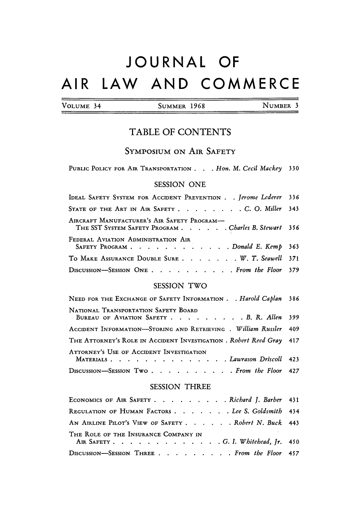# **JOURNAL** OF AIR LAW **AND** COMMERCE

|  | VOLUME 34 |  |
|--|-----------|--|
|  |           |  |

4 SUMMER 1968 NUMBER 3

## TABLE OF **CONTENTS**

### SYMPOSIUM ON AIR SAFETY

PUBLIC POLICY FOR AIR TRANSPORTATION . . . Hon. M. Cecil Mackey 330

#### SESSION ONE

| IDEAL SAFETY SYSTEM FOR ACCIDENT PREVENTION Jerome Lederer 336                                      |  |
|-----------------------------------------------------------------------------------------------------|--|
| STATE OF THE ART IN AIR SAFETY C. O. Miller 343                                                     |  |
| AIRCRAFT MANUFACTURER'S AIR SAFETY PROGRAM-<br>THE SST SYSTEM SAFETY PROGRAM Charles B. Stewart 356 |  |
| FEDERAL AVIATION ADMINISTRATION AIR<br>SAFETY PROGRAM Donald E. Kemp 363                            |  |
| TO MAKE ASSURANCE DOUBLE SURE W. T. Seawell 371                                                     |  |
| DISCUSSION-SESSION ONE From the Floor 379                                                           |  |

#### SESSION TWO

| NEED FOR THE EXCHANGE OF SAFETY INFORMATION Harold Caplan 386                     |  |
|-----------------------------------------------------------------------------------|--|
| NATIONAL TRANSPORTATION SAFETY BOARD<br>BUREAU OF AVIATION SAFETY B. R. Allen 399 |  |
| ACCIDENT INFORMATION-STORING AND RETRIEVING . William Russler 409                 |  |
| THE ATTORNEY'S ROLE IN ACCIDENT INVESTIGATION . Robert Reed Gray 417              |  |
| ATTORNEY'S USE OF ACCIDENT INVESTIGATION<br>MATERIALS. Lawrason Driscoll 423      |  |
| DISCUSSION-SESSION Two From the Floor 427                                         |  |

#### SESSION THREE

| ECONOMICS OF AIR SAFETY Richard J. Barber 431                                |  |
|------------------------------------------------------------------------------|--|
| REGULATION OF HUMAN FACTORS Lee S. Goldsmith 434                             |  |
| AN AIRLINE PILOT'S VIEW OF SAFETY. Robert N. Buck 443                        |  |
| THE ROLE OF THE INSURANCE COMPANY IN<br>AIR SAFETY. G. I. Whitehead, Jr. 450 |  |
| DISCUSSION-SESSION THREE From the Floor 457                                  |  |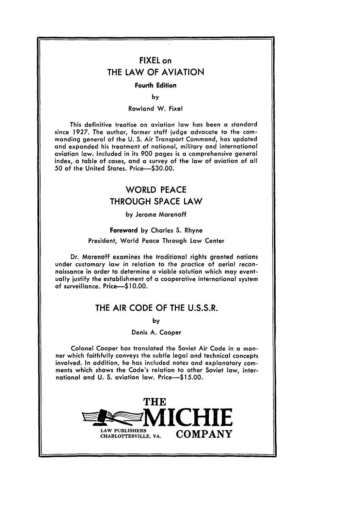## FIXEL on THE LAW OF **AVIATION**

#### Fourth Edition

**by**

#### Rowland W. Fixel

This definitive treatise on aviation law has been a standard since **1927.** The author, former staff judge advocate to the commanding general of the **U. S.** Air Transport Command, has updated and expanded his treatment of national, military and international aviation law. Included in its **900** pages is a comprehensive general index, a table of cases, and a survey of the law of aviation of all **50** of the United States. Price-\$30.00.

## WORLD **PEACE** THROUGH **SPACE** LAW

**by** Jerome Morenoff

#### Foreword **by** Charles **S.** Rhyne

#### President, World Peace Through Law Center

Dr. Morenoff examines the traditional rights granted nations under customary law in relation to the practice of aerial reconnaissance in order to determine a viable solution which may eventually justify the establishment of a cooperative international system of surveillance. **Price-\$10.00.**

#### THE AIR **CODE** OF THE **U.S.S.R.**

**by**

#### Denis **A.** Cooper

Colonel Cooper has translated the Soviet Air Code in a manner which faithfully conveys the subtle legal and technical concepts involved. In addition, he has included notes and explanatory comments which shows the Code's relation to other Soviet law, international and **U. S.** aviation law. Price-\$15.00.

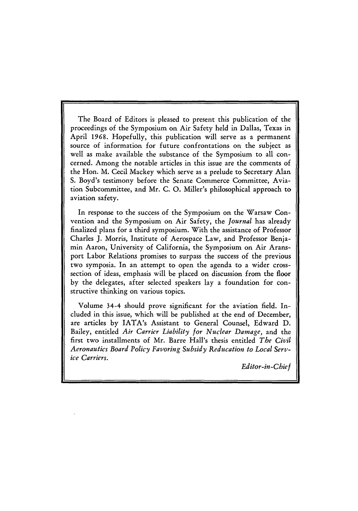The Board of Editors is pleased to present this publication **of** the proceedings of the Symposium on Air Safety held in Dallas, Texas in April 1968. Hopefully, this publication will serve as a permanent source of information for future confrontations on the subject as well as make available the substance of the Symposium to all concerned. Among the notable articles in this issue are the comments of the Hon. M. Cecil Mackey which serve as a prelude to Secretary Alan S. Boyd's testimony before the Senate Commerce Committee, Aviation Subcommittee, and Mr. C. **0.** Miller's philosophical approach to aviation safety.

In response to the success of the Symposium on the Warsaw Convention and the Symposium on Air Safety, the *Journal* has already finalized plans for a third symposium. With the assistance of Professor Charles J. Morris, Institute of Aerospace Law, and Professor Benjamin Aaron, University of California, the Symposium on Air Aransport Labor Relations promises to surpass the success of the previous two symposia. In an attempt to open the agenda to a wider crosssection of ideas, emphasis will be placed on discussion from the floor by the delegates, after selected speakers lay a foundation for constructive thinking on various topics.

Volume 34-4 should prove significant for the aviation field. Included in this issue, which will be published at the end of December, are articles by IATA's Assistant to General Counsel, Edward D. Bailey, entitled *Air Carrier Liability for Nuclear Damage,* and the first two installments of Mr. Barre Hall's thesis entitled *The Civil Aeronautics Board Policy Favoring Subsidy Reducation to Local Service Carriers.*

*Editor-in-Chief*